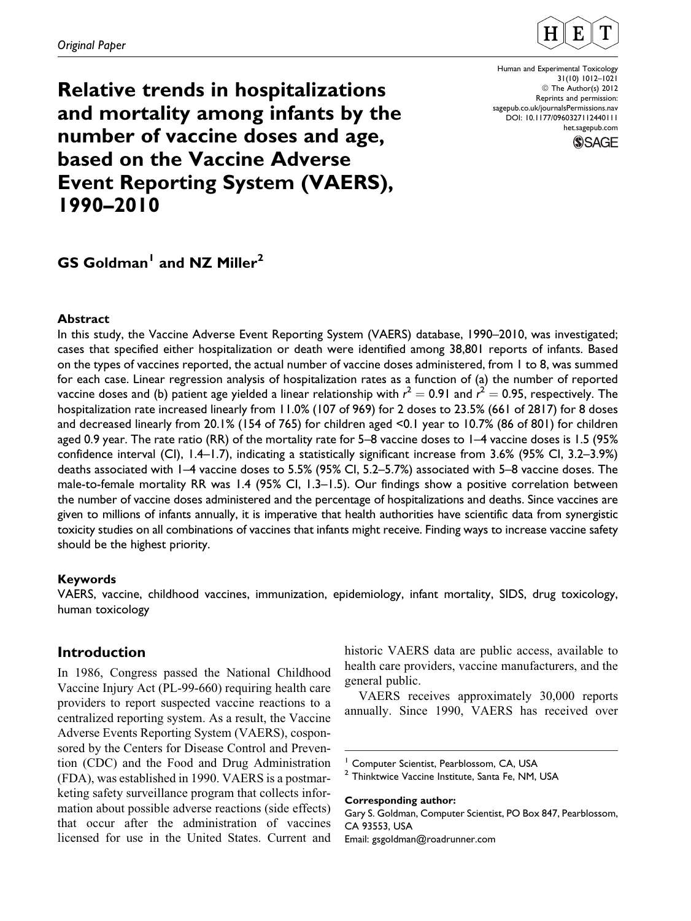

Relative trends in hospitalizations and mortality among infants by the number of vaccine doses and age, based on the Vaccine Adverse Event Reporting System (VAERS), 1990–2010

Human and Experimental Toxicology 31(10) 1012–1021 © The Author(s) 2012 Reprints and permission: sagepub.co.uk/journalsPermissions.nav DOI: 10.1177/0960327112440111 het.sagepub.com



# $GS$  Goldman<sup>1</sup> and NZ Miller<sup>2</sup>

### Abstract

In this study, the Vaccine Adverse Event Reporting System (VAERS) database, 1990–2010, was investigated; cases that specified either hospitalization or death were identified among 38,801 reports of infants. Based on the types of vaccines reported, the actual number of vaccine doses administered, from 1 to 8, was summed for each case. Linear regression analysis of hospitalization rates as a function of (a) the number of reported vaccine doses and (b) patient age yielded a linear relationship with  $r^2=$  0.91 and  $\dot{r}^2=$  0.95, respectively. The hospitalization rate increased linearly from 11.0% (107 of 969) for 2 doses to 23.5% (661 of 2817) for 8 doses and decreased linearly from 20.1% (154 of 765) for children aged <0.1 year to 10.7% (86 of 801) for children aged 0.9 year. The rate ratio (RR) of the mortality rate for 5–8 vaccine doses to 1–4 vaccine doses is 1.5 (95% confidence interval (CI), 1.4–1.7), indicating a statistically significant increase from 3.6% (95% CI, 3.2–3.9%) deaths associated with 1–4 vaccine doses to 5.5% (95% CI, 5.2–5.7%) associated with 5–8 vaccine doses. The male-to-female mortality RR was 1.4 (95% CI, 1.3–1.5). Our findings show a positive correlation between the number of vaccine doses administered and the percentage of hospitalizations and deaths. Since vaccines are given to millions of infants annually, it is imperative that health authorities have scientific data from synergistic toxicity studies on all combinations of vaccines that infants might receive. Finding ways to increase vaccine safety should be the highest priority.

### Keywords

VAERS, vaccine, childhood vaccines, immunization, epidemiology, infant mortality, SIDS, drug toxicology, human toxicology

### Introduction

In 1986, Congress passed the National Childhood Vaccine Injury Act (PL-99-660) requiring health care providers to report suspected vaccine reactions to a centralized reporting system. As a result, the Vaccine Adverse Events Reporting System (VAERS), cosponsored by the Centers for Disease Control and Prevention (CDC) and the Food and Drug Administration (FDA), was established in 1990. VAERS is a postmarketing safety surveillance program that collects information about possible adverse reactions (side effects) that occur after the administration of vaccines licensed for use in the United States. Current and historic VAERS data are public access, available to health care providers, vaccine manufacturers, and the general public.

VAERS receives approximately 30,000 reports annually. Since 1990, VAERS has received over

Gary S. Goldman, Computer Scientist, PO Box 847, Pearblossom, CA 93553, USA

Email: gsgoldman@roadrunner.com

<sup>&</sup>lt;sup>1</sup> Computer Scientist, Pearblossom, CA, USA

<sup>&</sup>lt;sup>2</sup> Thinktwice Vaccine Institute, Santa Fe, NM, USA

Corresponding author: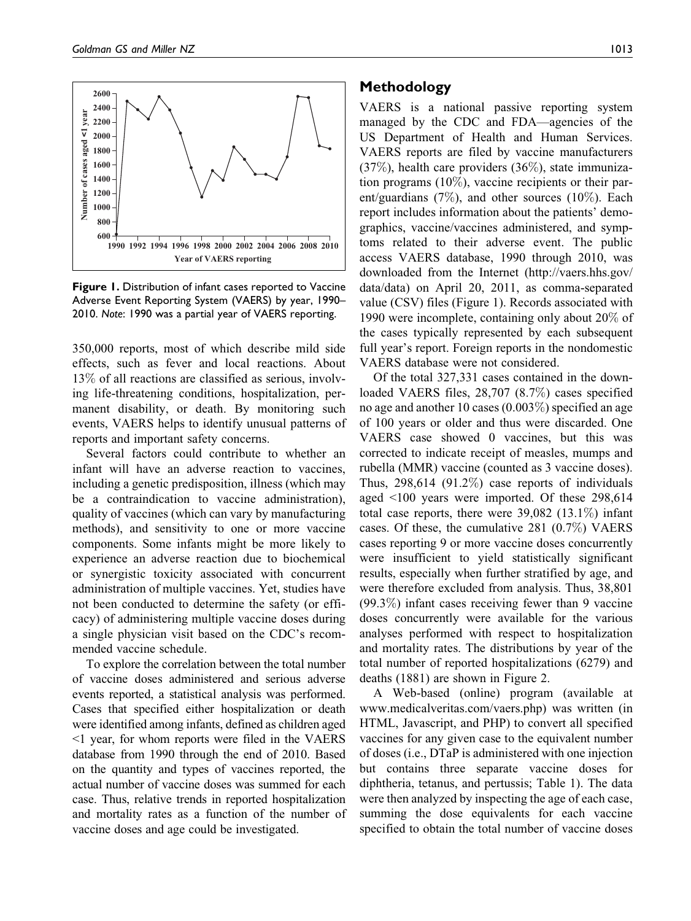



Figure 1. Distribution of infant cases reported to Vaccine Adverse Event Reporting System (VAERS) by year, 1990– 2010. Note: 1990 was a partial year of VAERS reporting.

350,000 reports, most of which describe mild side effects, such as fever and local reactions. About 13% of all reactions are classified as serious, involving life-threatening conditions, hospitalization, permanent disability, or death. By monitoring such events, VAERS helps to identify unusual patterns of reports and important safety concerns.

Several factors could contribute to whether an infant will have an adverse reaction to vaccines, including a genetic predisposition, illness (which may be a contraindication to vaccine administration), quality of vaccines (which can vary by manufacturing methods), and sensitivity to one or more vaccine components. Some infants might be more likely to experience an adverse reaction due to biochemical or synergistic toxicity associated with concurrent administration of multiple vaccines. Yet, studies have not been conducted to determine the safety (or efficacy) of administering multiple vaccine doses during a single physician visit based on the CDC's recommended vaccine schedule.

To explore the correlation between the total number of vaccine doses administered and serious adverse events reported, a statistical analysis was performed. Cases that specified either hospitalization or death were identified among infants, defined as children aged <1 year, for whom reports were filed in the VAERS database from 1990 through the end of 2010. Based on the quantity and types of vaccines reported, the actual number of vaccine doses was summed for each case. Thus, relative trends in reported hospitalization and mortality rates as a function of the number of vaccine doses and age could be investigated.

## Methodology

VAERS is a national passive reporting system managed by the CDC and FDA—agencies of the US Department of Health and Human Services. VAERS reports are filed by vaccine manufacturers  $(37\%)$ , health care providers  $(36\%)$ , state immunization programs (10%), vaccine recipients or their parent/guardians (7%), and other sources (10%). Each report includes information about the patients' demographics, vaccine/vaccines administered, and symptoms related to their adverse event. The public access VAERS database, 1990 through 2010, was downloaded from the Internet (http://vaers.hhs.gov/ data/data) on April 20, 2011, as comma-separated value (CSV) files (Figure 1). Records associated with 1990 were incomplete, containing only about 20% of the cases typically represented by each subsequent full year's report. Foreign reports in the nondomestic VAERS database were not considered.

Of the total 327,331 cases contained in the downloaded VAERS files, 28,707 (8.7%) cases specified no age and another 10 cases (0.003%) specified an age of 100 years or older and thus were discarded. One VAERS case showed 0 vaccines, but this was corrected to indicate receipt of measles, mumps and rubella (MMR) vaccine (counted as 3 vaccine doses). Thus,  $298,614$  (91.2%) case reports of individuals aged <100 years were imported. Of these 298,614 total case reports, there were 39,082 (13.1%) infant cases. Of these, the cumulative 281 (0.7%) VAERS cases reporting 9 or more vaccine doses concurrently were insufficient to yield statistically significant results, especially when further stratified by age, and were therefore excluded from analysis. Thus, 38,801  $(99.3\%)$  infant cases receiving fewer than 9 vaccine doses concurrently were available for the various analyses performed with respect to hospitalization and mortality rates. The distributions by year of the total number of reported hospitalizations (6279) and deaths (1881) are shown in Figure 2.

A Web-based (online) program (available at www.medicalveritas.com/vaers.php) was written (in HTML, Javascript, and PHP) to convert all specified vaccines for any given case to the equivalent number of doses (i.e., DTaP is administered with one injection but contains three separate vaccine doses for diphtheria, tetanus, and pertussis; Table 1). The data were then analyzed by inspecting the age of each case, summing the dose equivalents for each vaccine specified to obtain the total number of vaccine doses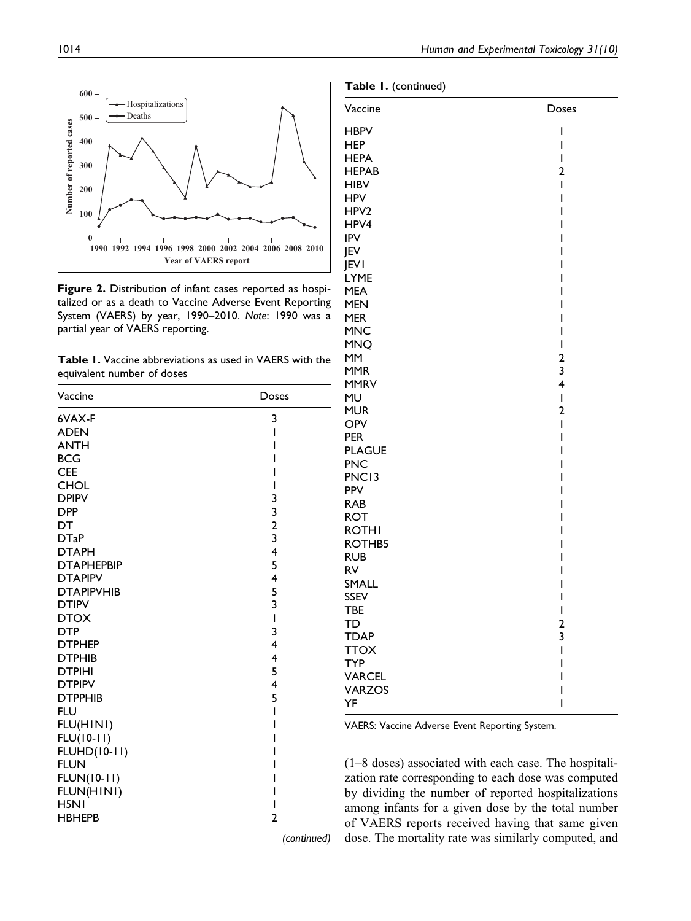

Figure 2. Distribution of infant cases reported as hospitalized or as a death to Vaccine Adverse Event Reporting System (VAERS) by year, 1990–2010. Note: 1990 was a partial year of VAERS reporting.

Table 1. Vaccine abbreviations as used in VAERS with the equivalent number of doses

| Vaccine             | Doses                   |
|---------------------|-------------------------|
| 6VAX-F              | 3                       |
| <b>ADEN</b>         | ı                       |
| <b>ANTH</b>         |                         |
| <b>BCG</b>          |                         |
| <b>CEE</b>          |                         |
| <b>CHOL</b>         | ı                       |
| <b>DPIPV</b>        | 3                       |
| <b>DPP</b>          | 3                       |
| DT                  | $\overline{2}$          |
| <b>DTaP</b>         | 3                       |
| <b>DTAPH</b>        | 4                       |
| <b>DTAPHEPBIP</b>   | 5                       |
| <b>DTAPIPV</b>      | 4                       |
| <b>DTAPIPVHIB</b>   | 5                       |
| <b>DTIPV</b>        | 3                       |
| <b>DTOX</b>         | $\overline{1}$          |
| <b>DTP</b>          | 3                       |
| <b>DTPHEP</b>       | 4                       |
| <b>DTPHIB</b>       | $\overline{\mathbf{4}}$ |
| <b>DTPIHI</b>       | 5                       |
| <b>DTPIPV</b>       | 4                       |
| <b>DTPPHIB</b>      | 5                       |
| <b>FLU</b>          | I                       |
| FLU(HINI)           |                         |
| FLU(10-11)          |                         |
| <b>FLUHD(10-11)</b> |                         |
| <b>FLUN</b>         |                         |
| FLUN(10-11)         |                         |
| FLUN(HINI)          |                         |
| H <sub>5N</sub>     |                         |
| <b>HBHEPB</b>       | 2                       |

|  |  | Table I. (continued) |  |
|--|--|----------------------|--|
|--|--|----------------------|--|

| Vaccine          | Doses                    |
|------------------|--------------------------|
| <b>HBPV</b>      | I                        |
| <b>HEP</b>       | I                        |
| <b>HEPA</b>      | $\mathsf I$              |
| <b>HEPAB</b>     | $\overline{2}$           |
| <b>HIBV</b>      | I                        |
| <b>HPV</b>       | I                        |
| HPV <sub>2</sub> | I                        |
| HPV4             | I                        |
| <b>IPV</b>       | I                        |
| JEV              | I                        |
| <b>JEVI</b>      | ı                        |
| <b>LYME</b>      | ı                        |
| <b>MEA</b>       | I                        |
| <b>MEN</b>       | ı                        |
| <b>MER</b>       | I                        |
| <b>MNC</b>       | I                        |
| <b>MNQ</b>       | I                        |
| MM               | $\mathbf 2$              |
| <b>MMR</b>       | 3                        |
| <b>MMRV</b>      | 4                        |
| MU               | $\overline{\phantom{a}}$ |
| <b>MUR</b>       | $\overline{2}$           |
| OPV              | I                        |
| <b>PER</b>       | $\mathsf I$              |
| <b>PLAGUE</b>    | I                        |
| <b>PNC</b>       | I                        |
| PNC13            | I                        |
| <b>PPV</b>       | I                        |
| <b>RAB</b>       | I                        |
| <b>ROT</b>       | I                        |
| <b>ROTHI</b>     | ı                        |
| ROTHB5           | I                        |
| <b>RUB</b>       | I                        |
| <b>RV</b>        | ı                        |
| <b>SMALL</b>     | ı                        |
| <b>SSEV</b>      | ı                        |
| <b>TBE</b>       | I                        |
| TD               | $\mathbf{c}$             |
| <b>TDAP</b>      | 3                        |
| <b>TTOX</b>      | I                        |
| <b>TYP</b>       | I                        |
| <b>VARCEL</b>    | I                        |
| <b>VARZOS</b>    | I                        |
| YF               | I                        |

VAERS: Vaccine Adverse Event Reporting System.

(1–8 doses) associated with each case. The hospitalization rate corresponding to each dose was computed by dividing the number of reported hospitalizations among infants for a given dose by the total number of VAERS reports received having that same given dose. The mortality rate was similarly computed, and

(continued)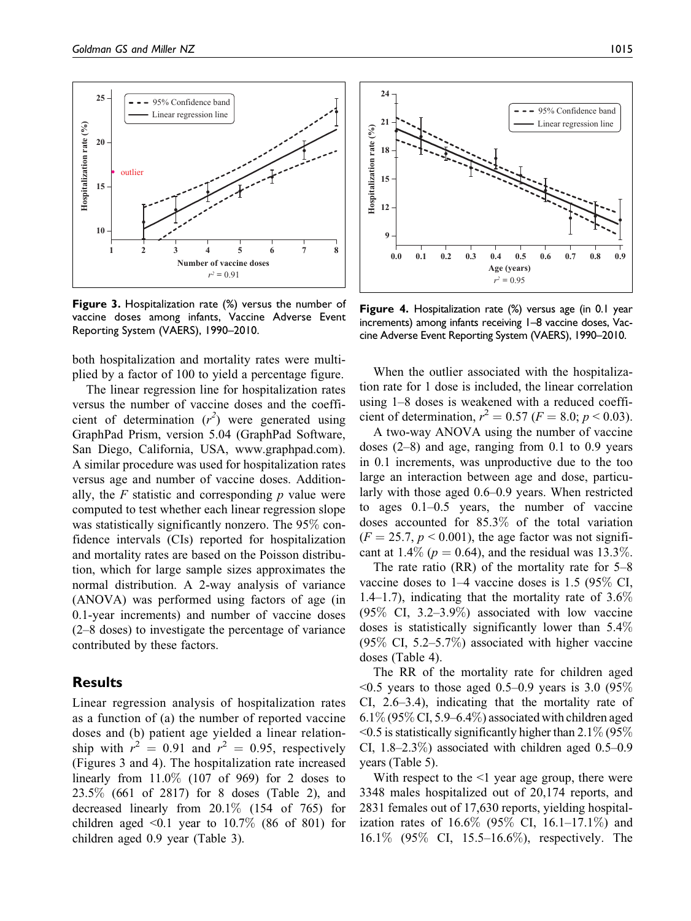



**Figure 3.** Hospitalization rate (%) versus the number of vaccine doses among infants, Vaccine Adverse Event Reporting System (VAERS), 1990–2010.

both hospitalization and mortality rates were multiplied by a factor of 100 to yield a percentage figure.

The linear regression line for hospitalization rates versus the number of vaccine doses and the coefficient of determination  $(r^2)$  were generated using GraphPad Prism, version 5.04 (GraphPad Software, San Diego, California, USA, www.graphpad.com). A similar procedure was used for hospitalization rates versus age and number of vaccine doses. Additionally, the  $F$  statistic and corresponding  $p$  value were computed to test whether each linear regression slope was statistically significantly nonzero. The 95% confidence intervals (CIs) reported for hospitalization and mortality rates are based on the Poisson distribution, which for large sample sizes approximates the normal distribution. A 2-way analysis of variance (ANOVA) was performed using factors of age (in 0.1-year increments) and number of vaccine doses (2–8 doses) to investigate the percentage of variance contributed by these factors.

## **Results**

Linear regression analysis of hospitalization rates as a function of (a) the number of reported vaccine doses and (b) patient age yielded a linear relationship with  $r^2 = 0.91$  and  $r^2 = 0.95$ , respectively (Figures 3 and 4). The hospitalization rate increased linearly from  $11.0\%$  (107 of 969) for 2 doses to 23.5% (661 of 2817) for 8 doses (Table 2), and decreased linearly from 20.1% (154 of 765) for children aged  $\leq 0.1$  year to 10.7% (86 of 801) for children aged 0.9 year (Table 3).



Figure 4. Hospitalization rate (%) versus age (in 0.1 year increments) among infants receiving 1–8 vaccine doses, Vaccine Adverse Event Reporting System (VAERS), 1990–2010.

When the outlier associated with the hospitalization rate for 1 dose is included, the linear correlation using 1–8 doses is weakened with a reduced coefficient of determination,  $r^2 = 0.57$  ( $F = 8.0; p < 0.03$ ).

A two-way ANOVA using the number of vaccine doses (2–8) and age, ranging from 0.1 to 0.9 years in 0.1 increments, was unproductive due to the too large an interaction between age and dose, particularly with those aged 0.6–0.9 years. When restricted to ages 0.1–0.5 years, the number of vaccine doses accounted for 85.3% of the total variation  $(F = 25.7, p \le 0.001)$ , the age factor was not significant at 1.4% ( $p = 0.64$ ), and the residual was 13.3%.

The rate ratio (RR) of the mortality rate for 5–8 vaccine doses to 1–4 vaccine doses is 1.5 (95% CI, 1.4–1.7), indicating that the mortality rate of  $3.6\%$ (95% CI, 3.2–3.9%) associated with low vaccine doses is statistically significantly lower than 5.4%  $(95\% \text{ CI}, 5.2-5.7\%)$  associated with higher vaccine doses (Table 4).

The RR of the mortality rate for children aged  $\leq$ 0.5 years to those aged 0.5–0.9 years is 3.0 (95%) CI, 2.6–3.4), indicating that the mortality rate of  $6.1\%$  (95% CI, 5.9–6.4%) associated with children aged  $\leq$ 0.5 is statistically significantly higher than 2.1% (95%) CI, 1.8–2.3%) associated with children aged 0.5–0.9 years (Table 5).

With respect to the  $\leq 1$  year age group, there were 3348 males hospitalized out of 20,174 reports, and 2831 females out of 17,630 reports, yielding hospitalization rates of  $16.6\%$  (95% CI, 16.1–17.1%) and 16.1% (95% CI, 15.5–16.6%), respectively. The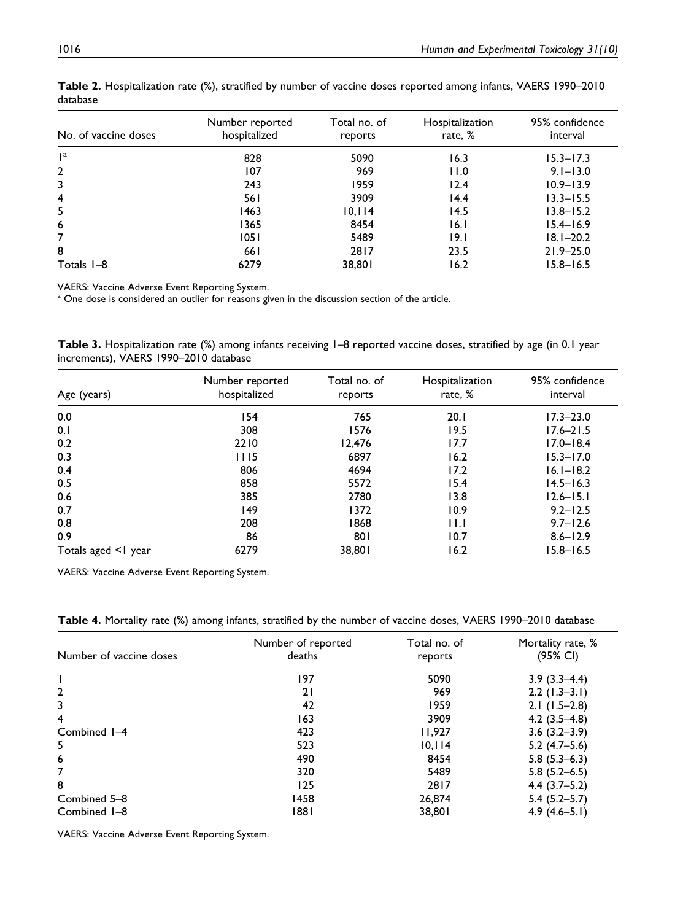| No. of vaccine doses      | Number reported<br>hospitalized | Total no. of<br>reports | Hospitalization<br>rate, % | 95% confidence<br>interval |
|---------------------------|---------------------------------|-------------------------|----------------------------|----------------------------|
| $\mathsf{I}^{\mathsf{a}}$ | 828                             | 5090                    | 16.3                       | $15.3 - 17.3$              |
| $\mathbf{2}$              | 107                             | 969                     | 11.0                       | $9.1 - 13.0$               |
| 3                         | 243                             | 1959                    | 12.4                       | $10.9 - 13.9$              |
| 4                         | 56 I                            | 3909                    | 14.4                       | $13.3 - 15.5$              |
| 5                         | 1463                            | 10, 114                 | 14.5                       | $13.8 - 15.2$              |
| 6                         | 1365                            | 8454                    | 16.1                       | $15.4 - 16.9$              |
| 7                         | 1051                            | 5489                    | 19.1                       | $18.1 - 20.2$              |
| 8                         | 661                             | 2817                    | 23.5                       | $21.9 - 25.0$              |
| Totals 1–8                | 6279                            | 38,801                  | 16.2                       | $15.8 - 16.5$              |

Table 2. Hospitalization rate (%), stratified by number of vaccine doses reported among infants, VAERS 1990–2010 database

VAERS: Vaccine Adverse Event Reporting System.

<sup>a</sup> One dose is considered an outlier for reasons given in the discussion section of the article.

| <b>Table 3.</b> Hospitalization rate (%) among infants receiving 1–8 reported vaccine doses, stratified by age (in 0.1 year |  |  |
|-----------------------------------------------------------------------------------------------------------------------------|--|--|
| increments), VAERS 1990–2010 database                                                                                       |  |  |

| Age (years)         | Number reported<br>hospitalized | Total no. of<br>reports | Hospitalization<br>rate, % | 95% confidence<br>interval |
|---------------------|---------------------------------|-------------------------|----------------------------|----------------------------|
| 0.0                 | 154                             | 765                     | 20.1                       | $17.3 - 23.0$              |
| 0.1                 | 308                             | 1576                    | 19.5                       | $17.6 - 21.5$              |
| 0.2                 | 2210                            | 12,476                  | 17.7                       | $17.0 - 18.4$              |
| 0.3                 | 1115                            | 6897                    | 16.2                       | $15.3 - 17.0$              |
| 0.4                 | 806                             | 4694                    | 17.2                       | $16.1 - 18.2$              |
| 0.5                 | 858                             | 5572                    | 15.4                       | $14.5 - 16.3$              |
| 0.6                 | 385                             | 2780                    | 13.8                       | $12.6 - 15.1$              |
| 0.7                 | 149                             | 1372                    | 10.9                       | $9.2 - 12.5$               |
| 0.8                 | 208                             | 1868                    | $  \cdot  $                | $9.7 - 12.6$               |
| 0.9                 | 86                              | 801                     | 10.7                       | $8.6 - 12.9$               |
| Totals aged <1 year | 6279                            | 38,801                  | 16.2                       | $15.8 - 16.5$              |

VAERS: Vaccine Adverse Event Reporting System.

|  |  |  |  | Table 4. Mortality rate (%) among infants, stratified by the number of vaccine doses, VAERS 1990–2010 database |  |  |  |
|--|--|--|--|----------------------------------------------------------------------------------------------------------------|--|--|--|
|--|--|--|--|----------------------------------------------------------------------------------------------------------------|--|--|--|

| Number of vaccine doses | Number of reported<br>deaths | Total no. of<br>reports | Mortality rate, %<br>(95% CI) |  |
|-------------------------|------------------------------|-------------------------|-------------------------------|--|
|                         | 197                          | 5090                    | $3.9(3.3-4.4)$                |  |
| $\overline{2}$          | 21                           | 969                     | $2.2$ (1.3-3.1)               |  |
| 3                       | 42                           | 1959                    | $2.1(1.5-2.8)$                |  |
| 4                       | 163                          | 3909                    | $4.2$ (3.5-4.8)               |  |
| Combined I-4            | 423                          | 11,927                  | $3.6(3.2 - 3.9)$              |  |
| 5                       | 523                          | 10, 114                 | $5.2(4.7-5.6)$                |  |
| 6                       | 490                          | 8454                    | $5.8(5.3-6.3)$                |  |
| 7                       | 320                          | 5489                    | $5.8(5.2 - 6.5)$              |  |
| 8                       | 125                          | 2817                    | $4.4(3.7-5.2)$                |  |
| Combined 5-8            | 1458                         | 26,874                  | $5.4(5.2 - 5.7)$              |  |
| Combined I-8            | 1881                         | 38,801                  | $4.9(4.6-5.1)$                |  |

VAERS: Vaccine Adverse Event Reporting System.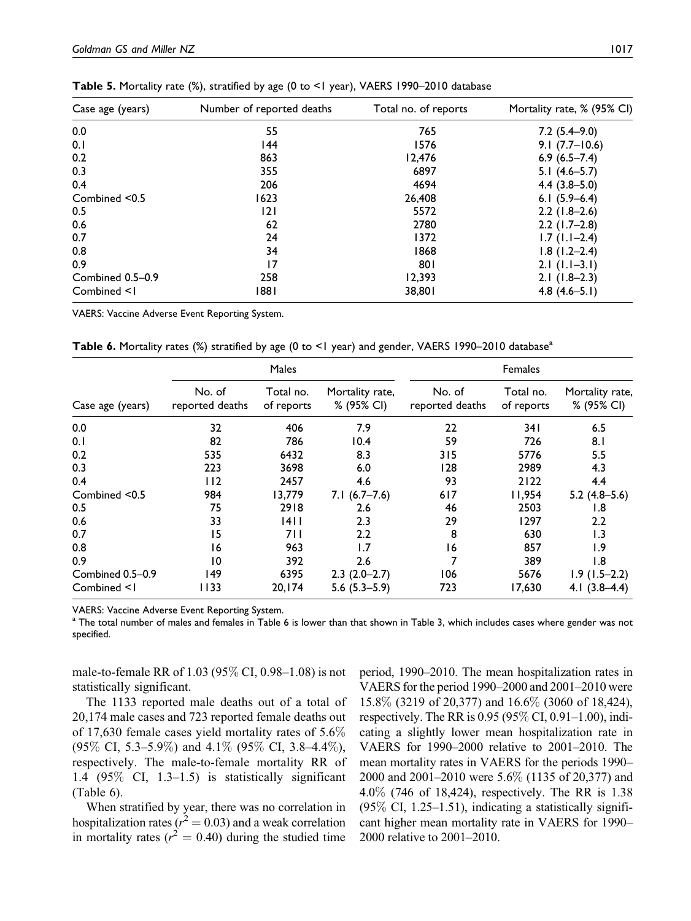| Case age (years) | Number of reported deaths | Total no. of reports | Mortality rate, % (95% CI) |
|------------------|---------------------------|----------------------|----------------------------|
| 0.0              | 55                        | 765                  | $7.2(5.4-9.0)$             |
| 0.1              | 144                       | 1576                 | $9.1(7.7-10.6)$            |
| 0.2              | 863                       | 12,476               | $6.9(6.5 - 7.4)$           |
| 0.3              | 355                       | 6897                 | 5.1 $(4.6 - 5.7)$          |
| 0.4              | 206                       | 4694                 | $4.4(3.8-5.0)$             |
| Combined <0.5    | 1623                      | 26,408               | 6.1 $(5.9-6.4)$            |
| 0.5              | 2                         | 5572                 | $2.2$ (1.8-2.6)            |
| 0.6              | 62                        | 2780                 | $2.2$ (1.7-2.8)            |
| 0.7              | 24                        | 1372                 | $1.7(1.1-2.4)$             |
| 0.8              | 34                        | 1868                 | $1.8(1.2 - 2.4)$           |
| 0.9              | 17                        | 801                  | $2.1$ (1.1–3.1)            |
| Combined 0.5-0.9 | 258                       | 12,393               | $2.1(1.8-2.3)$             |
| Combined <1      | 1881                      | 38,801               | 4.8 $(4.6-5.1)$            |

Table 5. Mortality rate (%), stratified by age (0 to <1 year), VAERS 1990–2010 database

VAERS: Vaccine Adverse Event Reporting System.

**Table 6.** Mortality rates (%) stratified by age (0 to <1 year) and gender, VAERS 1990–2010 database<sup>a</sup>

|                  |                           | Males                   | Females                       |                           |                         |                               |
|------------------|---------------------------|-------------------------|-------------------------------|---------------------------|-------------------------|-------------------------------|
| Case age (years) | No. of<br>reported deaths | Total no.<br>of reports | Mortality rate,<br>% (95% CI) | No. of<br>reported deaths | Total no.<br>of reports | Mortality rate,<br>% (95% CI) |
| 0.0              | 32                        | 406                     | 7.9                           | 22                        | 341                     | 6.5                           |
| 0.1              | 82                        | 786                     | 10.4                          | 59                        | 726                     | 8.1                           |
| 0.2              | 535                       | 6432                    | 8.3                           | 315                       | 5776                    | 5.5                           |
| 0.3              | 223                       | 3698                    | 6.0                           | 128                       | 2989                    | 4.3                           |
| 0.4              | 112                       | 2457                    | 4.6                           | 93                        | 2122                    | 4.4                           |
| Combined <0.5    | 984                       | 13,779                  | $7.1(6.7-7.6)$                | 617                       | 11,954                  | $5.2(4.8-5.6)$                |
| 0.5              | 75                        | 2918                    | 2.6                           | 46                        | 2503                    | $\overline{1.8}$              |
| 0.6              | 33                        | 1411                    | 2.3                           | 29                        | 1297                    | 2.2                           |
| 0.7              | 15                        | 711                     | $2.2\phantom{0}$              | 8                         | 630                     | $\overline{1.3}$              |
| 0.8              | 16                        | 963                     | 1.7                           | 16                        | 857                     | l.9                           |
| 0.9              | 10                        | 392                     | 2.6                           |                           | 389                     | $\overline{8}$ .              |
| Combined 0.5-0.9 | 149                       | 6395                    | $2.3(2.0-2.7)$                | 106                       | 5676                    | $1.9(1.5-2.2)$                |
| Combined <1      | 1133                      | 20,174                  | $5.6(5.3 - 5.9)$              | 723                       | 17,630                  | 4.1 $(3.8-4.4)$               |

VAERS: Vaccine Adverse Event Reporting System.

<sup>a</sup> The total number of males and females in Table 6 is lower than that shown in Table 3, which includes cases where gender was not specified.

male-to-female RR of 1.03 (95% CI, 0.98–1.08) is not statistically significant.

The 1133 reported male deaths out of a total of 20,174 male cases and 723 reported female deaths out of 17,630 female cases yield mortality rates of 5.6% (95% CI, 5.3–5.9%) and 4.1% (95% CI, 3.8–4.4%), respectively. The male-to-female mortality RR of 1.4 (95% CI, 1.3–1.5) is statistically significant (Table 6).

When stratified by year, there was no correlation in hospitalization rates  $(r^2 = 0.03)$  and a weak correlation in mortality rates ( $r^2 = 0.40$ ) during the studied time

period, 1990–2010. The mean hospitalization rates in VAERS for the period 1990–2000 and 2001–2010 were 15.8% (3219 of 20,377) and 16.6% (3060 of 18,424), respectively. The RR is 0.95 (95% CI, 0.91–1.00), indicating a slightly lower mean hospitalization rate in VAERS for 1990–2000 relative to 2001–2010. The mean mortality rates in VAERS for the periods 1990– 2000 and 2001–2010 were 5.6% (1135 of 20,377) and 4.0% (746 of 18,424), respectively. The RR is 1.38  $(95\% \text{ CI}, 1.25-1.51)$ , indicating a statistically significant higher mean mortality rate in VAERS for 1990– 2000 relative to 2001–2010.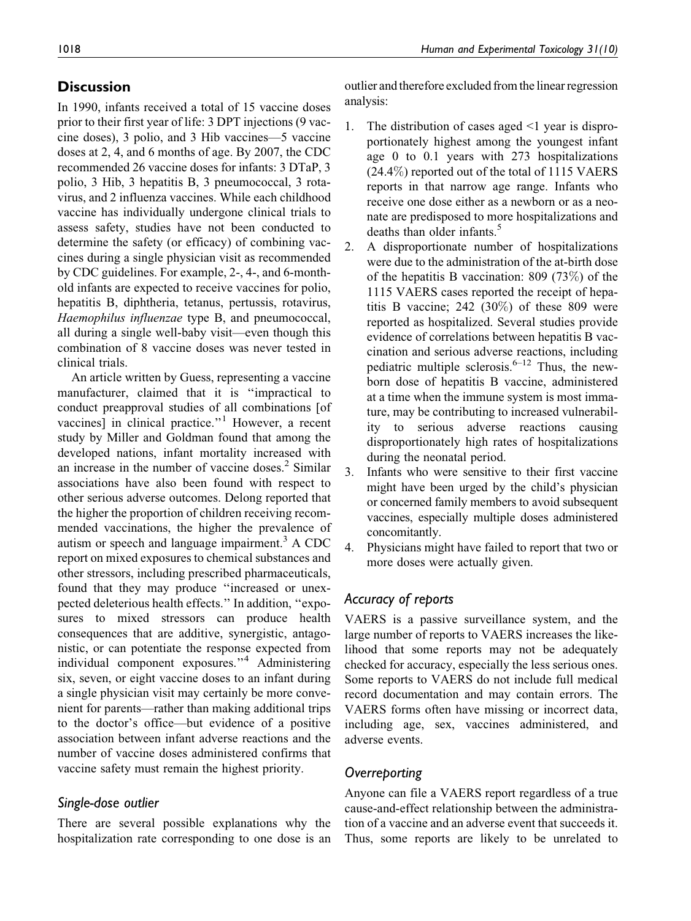## **Discussion**

In 1990, infants received a total of 15 vaccine doses prior to their first year of life: 3 DPT injections (9 vaccine doses), 3 polio, and 3 Hib vaccines—5 vaccine doses at 2, 4, and 6 months of age. By 2007, the CDC recommended 26 vaccine doses for infants: 3 DTaP, 3 polio, 3 Hib, 3 hepatitis B, 3 pneumococcal, 3 rotavirus, and 2 influenza vaccines. While each childhood vaccine has individually undergone clinical trials to assess safety, studies have not been conducted to determine the safety (or efficacy) of combining vaccines during a single physician visit as recommended by CDC guidelines. For example, 2-, 4-, and 6-monthold infants are expected to receive vaccines for polio, hepatitis B, diphtheria, tetanus, pertussis, rotavirus, Haemophilus influenzae type B, and pneumococcal, all during a single well-baby visit—even though this combination of 8 vaccine doses was never tested in clinical trials.

An article written by Guess, representing a vaccine manufacturer, claimed that it is ''impractical to conduct preapproval studies of all combinations [of vaccines] in clinical practice."<sup>1</sup> However, a recent study by Miller and Goldman found that among the developed nations, infant mortality increased with an increase in the number of vaccine doses.<sup>2</sup> Similar associations have also been found with respect to other serious adverse outcomes. Delong reported that the higher the proportion of children receiving recommended vaccinations, the higher the prevalence of autism or speech and language impairment. $3 A CDC$ report on mixed exposures to chemical substances and other stressors, including prescribed pharmaceuticals, found that they may produce "increased or unexpected deleterious health effects.'' In addition, ''exposures to mixed stressors can produce health consequences that are additive, synergistic, antagonistic, or can potentiate the response expected from individual component exposures.''<sup>4</sup> Administering six, seven, or eight vaccine doses to an infant during a single physician visit may certainly be more convenient for parents—rather than making additional trips to the doctor's office—but evidence of a positive association between infant adverse reactions and the number of vaccine doses administered confirms that vaccine safety must remain the highest priority.

## Single-dose outlier

There are several possible explanations why the hospitalization rate corresponding to one dose is an outlier and therefore excluded from the linear regression analysis:

- 1. The distribution of cases aged  $\leq 1$  year is disproportionately highest among the youngest infant age 0 to 0.1 years with 273 hospitalizations  $(24.4\%)$  reported out of the total of 1115 VAERS reports in that narrow age range. Infants who receive one dose either as a newborn or as a neonate are predisposed to more hospitalizations and deaths than older infants.<sup>5</sup>
- 2. A disproportionate number of hospitalizations were due to the administration of the at-birth dose of the hepatitis B vaccination: 809 (73%) of the 1115 VAERS cases reported the receipt of hepatitis B vaccine; 242 (30%) of these 809 were reported as hospitalized. Several studies provide evidence of correlations between hepatitis B vaccination and serious adverse reactions, including pediatric multiple sclerosis.<sup> $6-12$ </sup> Thus, the newborn dose of hepatitis B vaccine, administered at a time when the immune system is most immature, may be contributing to increased vulnerability to serious adverse reactions causing disproportionately high rates of hospitalizations during the neonatal period.
- 3. Infants who were sensitive to their first vaccine might have been urged by the child's physician or concerned family members to avoid subsequent vaccines, especially multiple doses administered concomitantly.
- 4. Physicians might have failed to report that two or more doses were actually given.

## Accuracy of reports

VAERS is a passive surveillance system, and the large number of reports to VAERS increases the likelihood that some reports may not be adequately checked for accuracy, especially the less serious ones. Some reports to VAERS do not include full medical record documentation and may contain errors. The VAERS forms often have missing or incorrect data, including age, sex, vaccines administered, and adverse events.

## **Overreporting**

Anyone can file a VAERS report regardless of a true cause-and-effect relationship between the administration of a vaccine and an adverse event that succeeds it. Thus, some reports are likely to be unrelated to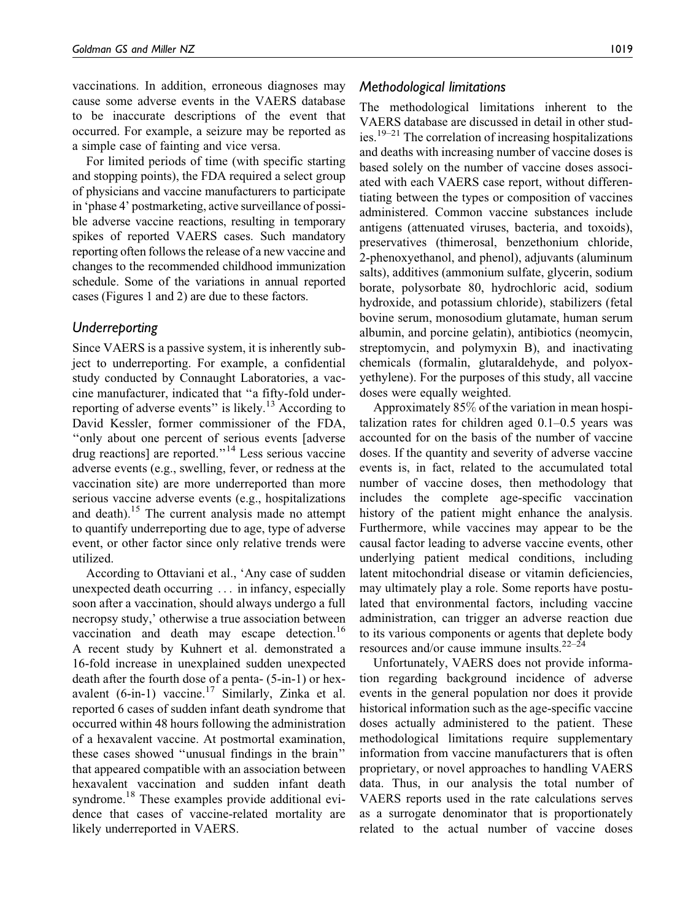vaccinations. In addition, erroneous diagnoses may cause some adverse events in the VAERS database to be inaccurate descriptions of the event that occurred. For example, a seizure may be reported as a simple case of fainting and vice versa.

For limited periods of time (with specific starting and stopping points), the FDA required a select group of physicians and vaccine manufacturers to participate in 'phase 4' postmarketing, active surveillance of possible adverse vaccine reactions, resulting in temporary spikes of reported VAERS cases. Such mandatory reporting often follows the release of a new vaccine and changes to the recommended childhood immunization schedule. Some of the variations in annual reported cases (Figures 1 and 2) are due to these factors.

### Underreporting

Since VAERS is a passive system, it is inherently subject to underreporting. For example, a confidential study conducted by Connaught Laboratories, a vaccine manufacturer, indicated that ''a fifty-fold underreporting of adverse events" is likely.<sup>13</sup> According to David Kessler, former commissioner of the FDA, ''only about one percent of serious events [adverse drug reactions] are reported.''14 Less serious vaccine adverse events (e.g., swelling, fever, or redness at the vaccination site) are more underreported than more serious vaccine adverse events (e.g., hospitalizations and death).<sup>15</sup> The current analysis made no attempt to quantify underreporting due to age, type of adverse event, or other factor since only relative trends were utilized.

According to Ottaviani et al., 'Any case of sudden unexpected death occurring ... in infancy, especially soon after a vaccination, should always undergo a full necropsy study,' otherwise a true association between vaccination and death may escape detection.<sup>16</sup> A recent study by Kuhnert et al. demonstrated a 16-fold increase in unexplained sudden unexpected death after the fourth dose of a penta- (5-in-1) or hexavalent (6-in-1) vaccine.<sup>17</sup> Similarly, Zinka et al. reported 6 cases of sudden infant death syndrome that occurred within 48 hours following the administration of a hexavalent vaccine. At postmortal examination, these cases showed ''unusual findings in the brain'' that appeared compatible with an association between hexavalent vaccination and sudden infant death syndrome.<sup>18</sup> These examples provide additional evidence that cases of vaccine-related mortality are likely underreported in VAERS.

The methodological limitations inherent to the VAERS database are discussed in detail in other studies.<sup>19–21</sup> The correlation of increasing hospitalizations and deaths with increasing number of vaccine doses is based solely on the number of vaccine doses associated with each VAERS case report, without differentiating between the types or composition of vaccines administered. Common vaccine substances include antigens (attenuated viruses, bacteria, and toxoids), preservatives (thimerosal, benzethonium chloride, 2-phenoxyethanol, and phenol), adjuvants (aluminum salts), additives (ammonium sulfate, glycerin, sodium borate, polysorbate 80, hydrochloric acid, sodium hydroxide, and potassium chloride), stabilizers (fetal bovine serum, monosodium glutamate, human serum albumin, and porcine gelatin), antibiotics (neomycin, streptomycin, and polymyxin B), and inactivating chemicals (formalin, glutaraldehyde, and polyoxyethylene). For the purposes of this study, all vaccine doses were equally weighted.

Approximately 85% of the variation in mean hospitalization rates for children aged 0.1–0.5 years was accounted for on the basis of the number of vaccine doses. If the quantity and severity of adverse vaccine events is, in fact, related to the accumulated total number of vaccine doses, then methodology that includes the complete age-specific vaccination history of the patient might enhance the analysis. Furthermore, while vaccines may appear to be the causal factor leading to adverse vaccine events, other underlying patient medical conditions, including latent mitochondrial disease or vitamin deficiencies, may ultimately play a role. Some reports have postulated that environmental factors, including vaccine administration, can trigger an adverse reaction due to its various components or agents that deplete body resources and/or cause immune insults.<sup>22–24</sup>

Unfortunately, VAERS does not provide information regarding background incidence of adverse events in the general population nor does it provide historical information such as the age-specific vaccine doses actually administered to the patient. These methodological limitations require supplementary information from vaccine manufacturers that is often proprietary, or novel approaches to handling VAERS data. Thus, in our analysis the total number of VAERS reports used in the rate calculations serves as a surrogate denominator that is proportionately related to the actual number of vaccine doses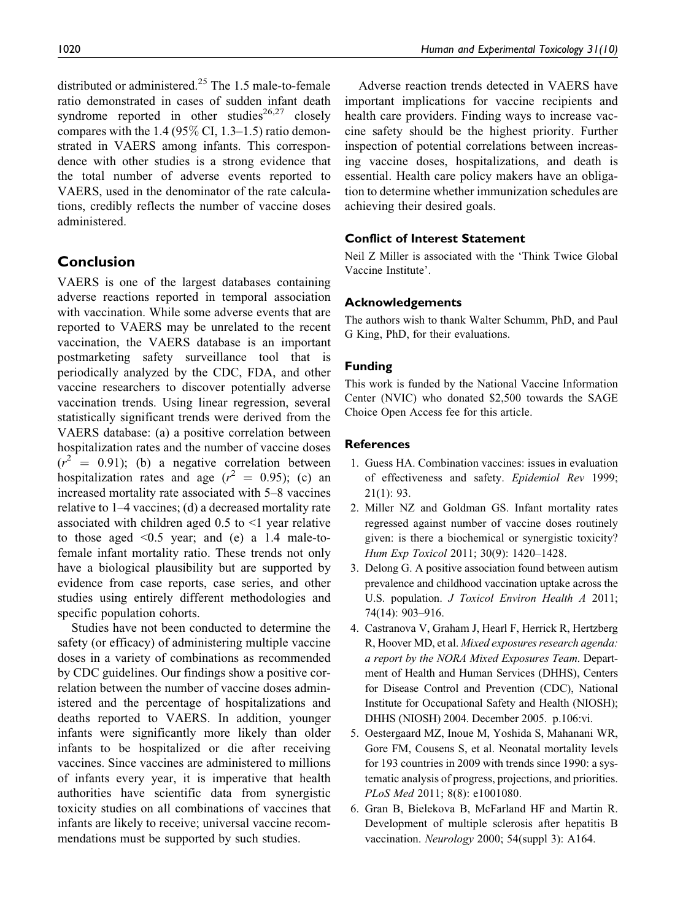distributed or administered.<sup>25</sup> The 1.5 male-to-female ratio demonstrated in cases of sudden infant death syndrome reported in other studies<sup>26,27</sup> closely compares with the  $1.4$  (95% CI, 1.3–1.5) ratio demonstrated in VAERS among infants. This correspondence with other studies is a strong evidence that the total number of adverse events reported to VAERS, used in the denominator of the rate calculations, credibly reflects the number of vaccine doses administered.

## Conclusion

VAERS is one of the largest databases containing adverse reactions reported in temporal association with vaccination. While some adverse events that are reported to VAERS may be unrelated to the recent vaccination, the VAERS database is an important postmarketing safety surveillance tool that is periodically analyzed by the CDC, FDA, and other vaccine researchers to discover potentially adverse vaccination trends. Using linear regression, several statistically significant trends were derived from the VAERS database: (a) a positive correlation between hospitalization rates and the number of vaccine doses  $(r^2 = 0.91)$ ; (b) a negative correlation between hospitalization rates and age ( $r^2 = 0.95$ ); (c) an increased mortality rate associated with 5–8 vaccines relative to 1–4 vaccines; (d) a decreased mortality rate associated with children aged  $0.5$  to  $\leq 1$  year relative to those aged  $\leq 0.5$  year; and (e) a 1.4 male-tofemale infant mortality ratio. These trends not only have a biological plausibility but are supported by evidence from case reports, case series, and other studies using entirely different methodologies and specific population cohorts.

Studies have not been conducted to determine the safety (or efficacy) of administering multiple vaccine doses in a variety of combinations as recommended by CDC guidelines. Our findings show a positive correlation between the number of vaccine doses administered and the percentage of hospitalizations and deaths reported to VAERS. In addition, younger infants were significantly more likely than older infants to be hospitalized or die after receiving vaccines. Since vaccines are administered to millions of infants every year, it is imperative that health authorities have scientific data from synergistic toxicity studies on all combinations of vaccines that infants are likely to receive; universal vaccine recommendations must be supported by such studies.

Adverse reaction trends detected in VAERS have important implications for vaccine recipients and health care providers. Finding ways to increase vaccine safety should be the highest priority. Further inspection of potential correlations between increasing vaccine doses, hospitalizations, and death is essential. Health care policy makers have an obligation to determine whether immunization schedules are achieving their desired goals.

### Conflict of Interest Statement

Neil Z Miller is associated with the 'Think Twice Global Vaccine Institute'.

#### Acknowledgements

The authors wish to thank Walter Schumm, PhD, and Paul G King, PhD, for their evaluations.

#### Funding

This work is funded by the National Vaccine Information Center (NVIC) who donated \$2,500 towards the SAGE Choice Open Access fee for this article.

#### **References**

- 1. Guess HA. Combination vaccines: issues in evaluation of effectiveness and safety. Epidemiol Rev 1999; 21(1): 93.
- 2. Miller NZ and Goldman GS. Infant mortality rates regressed against number of vaccine doses routinely given: is there a biochemical or synergistic toxicity? Hum Exp Toxicol 2011; 30(9): 1420–1428.
- 3. Delong G. A positive association found between autism prevalence and childhood vaccination uptake across the U.S. population. *J Toxicol Environ Health A* 2011; 74(14): 903–916.
- 4. Castranova V, Graham J, Hearl F, Herrick R, Hertzberg R, Hoover MD, et al. Mixed exposures research agenda: a report by the NORA Mixed Exposures Team. Department of Health and Human Services (DHHS), Centers for Disease Control and Prevention (CDC), National Institute for Occupational Safety and Health (NIOSH); DHHS (NIOSH) 2004. December 2005. p.106:vi.
- 5. Oestergaard MZ, Inoue M, Yoshida S, Mahanani WR, Gore FM, Cousens S, et al. Neonatal mortality levels for 193 countries in 2009 with trends since 1990: a systematic analysis of progress, projections, and priorities. PLoS Med 2011; 8(8): e1001080.
- 6. Gran B, Bielekova B, McFarland HF and Martin R. Development of multiple sclerosis after hepatitis B vaccination. Neurology 2000; 54(suppl 3): A164.